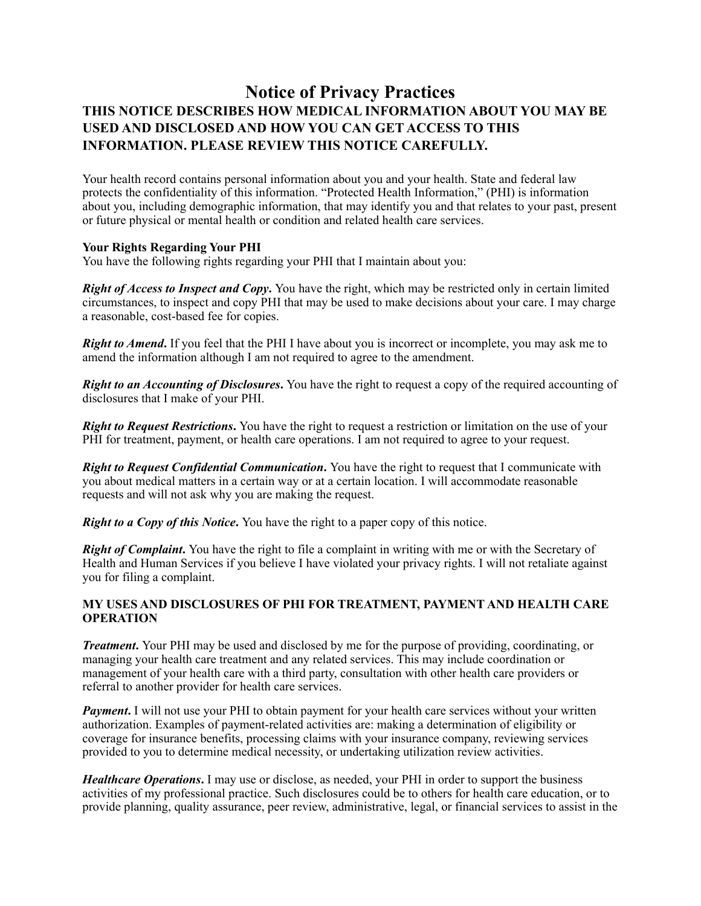# **Notice of Privacy Practices THIS NOTICE DESCRIBES HOW MEDICAL INFORMATION ABOUT YOU MAY BE USED AND DISCLOSED AND HOW YOU CAN GET ACCESS TO THIS INFORMATION. PLEASE REVIEW THIS NOTICE CAREFULLY.**

Your health record contains personal information about you and your health. State and federal law protects the confidentiality of this information. "Protected Health Information," (PHI) is information about you, including demographic information, that may identify you and that relates to your past, present or future physical or mental health or condition and related health care services.

## **Your Rights Regarding Your PHI**

You have the following rights regarding your PHI that I maintain about you:

*Right of Access to Inspect and Copy***.** You have the right, which may be restricted only in certain limited circumstances, to inspect and copy PHI that may be used to make decisions about your care. I may charge a reasonable, cost-based fee for copies.

*Right to Amend*. If you feel that the PHI I have about you is incorrect or incomplete, you may ask me to amend the information although I am not required to agree to the amendment.

*Right to an Accounting of Disclosures***.** You have the right to request a copy of the required accounting of disclosures that I make of your PHI.

*Right to Request Restrictions***.** You have the right to request a restriction or limitation on the use of your PHI for treatment, payment, or health care operations. I am not required to agree to your request.

*Right to Request Confidential Communication***.** You have the right to request that I communicate with you about medical matters in a certain way or at a certain location. I will accommodate reasonable requests and will not ask why you are making the request.

*Right to a Copy of this Notice.* You have the right to a paper copy of this notice.

*Right of Complaint*. You have the right to file a complaint in writing with me or with the Secretary of Health and Human Services if you believe I have violated your privacy rights. I will not retaliate against you for filing a complaint.

## **MY USES AND DISCLOSURES OF PHI FOR TREATMENT, PAYMENT AND HEALTH CARE OPERATION**

*Treatment.* Your PHI may be used and disclosed by me for the purpose of providing, coordinating, or managing your health care treatment and any related services. This may include coordination or management of your health care with a third party, consultation with other health care providers or referral to another provider for health care services.

*Payment*. I will not use your PHI to obtain payment for your health care services without your written authorization. Examples of payment-related activities are: making a determination of eligibility or coverage for insurance benefits, processing claims with your insurance company, reviewing services provided to you to determine medical necessity, or undertaking utilization review activities.

*Healthcare Operations***.** I may use or disclose, as needed, your PHI in order to support the business activities of my professional practice. Such disclosures could be to others for health care education, or to provide planning, quality assurance, peer review, administrative, legal, or financial services to assist in the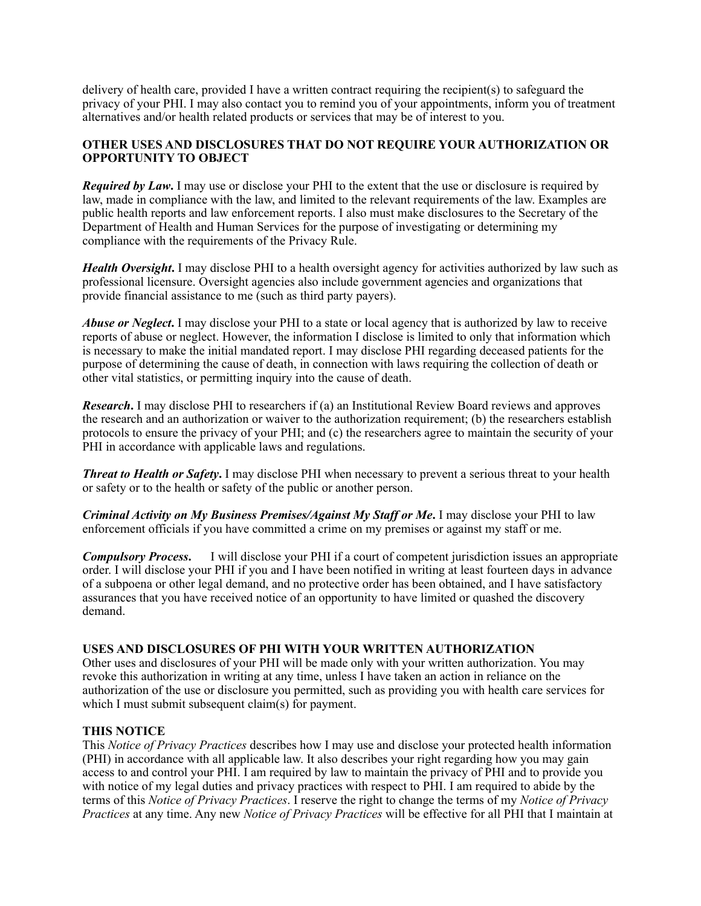delivery of health care, provided I have a written contract requiring the recipient(s) to safeguard the privacy of your PHI. I may also contact you to remind you of your appointments, inform you of treatment alternatives and/or health related products or services that may be of interest to you.

## **OTHER USES AND DISCLOSURES THAT DO NOT REQUIRE YOUR AUTHORIZATION OR OPPORTUNITY TO OBJECT**

*Required by Law*. I may use or disclose your PHI to the extent that the use or disclosure is required by law, made in compliance with the law, and limited to the relevant requirements of the law. Examples are public health reports and law enforcement reports. I also must make disclosures to the Secretary of the Department of Health and Human Services for the purpose of investigating or determining my compliance with the requirements of the Privacy Rule.

*Health Oversight*. I may disclose PHI to a health oversight agency for activities authorized by law such as professional licensure. Oversight agencies also include government agencies and organizations that provide financial assistance to me (such as third party payers).

*Abuse or Neglect*. I may disclose your PHI to a state or local agency that is authorized by law to receive reports of abuse or neglect. However, the information I disclose is limited to only that information which is necessary to make the initial mandated report. I may disclose PHI regarding deceased patients for the purpose of determining the cause of death, in connection with laws requiring the collection of death or other vital statistics, or permitting inquiry into the cause of death.

*Research***.** I may disclose PHI to researchers if (a) an Institutional Review Board reviews and approves the research and an authorization or waiver to the authorization requirement; (b) the researchers establish protocols to ensure the privacy of your PHI; and (c) the researchers agree to maintain the security of your PHI in accordance with applicable laws and regulations.

*Threat to Health or Safety*. I may disclose PHI when necessary to prevent a serious threat to your health or safety or to the health or safety of the public or another person.

*Criminal Activity on My Business Premises/Against My Staff or Me***.** I may disclose your PHI to law enforcement officials if you have committed a crime on my premises or against my staff or me.

*Compulsory Process***.** I will disclose your PHI if a court of competent jurisdiction issues an appropriate order. I will disclose your PHI if you and I have been notified in writing at least fourteen days in advance of a subpoena or other legal demand, and no protective order has been obtained, and I have satisfactory assurances that you have received notice of an opportunity to have limited or quashed the discovery demand.

## **USES AND DISCLOSURES OF PHI WITH YOUR WRITTEN AUTHORIZATION**

Other uses and disclosures of your PHI will be made only with your written authorization. You may revoke this authorization in writing at any time, unless I have taken an action in reliance on the authorization of the use or disclosure you permitted, such as providing you with health care services for which I must submit subsequent claim(s) for payment.

#### **THIS NOTICE**

This *Notice of Privacy Practices* describes how I may use and disclose your protected health information (PHI) in accordance with all applicable law. It also describes your right regarding how you may gain access to and control your PHI. I am required by law to maintain the privacy of PHI and to provide you with notice of my legal duties and privacy practices with respect to PHI. I am required to abide by the terms of this *Notice of Privacy Practices*. I reserve the right to change the terms of my *Notice of Privacy Practices* at any time. Any new *Notice of Privacy Practices* will be effective for all PHI that I maintain at